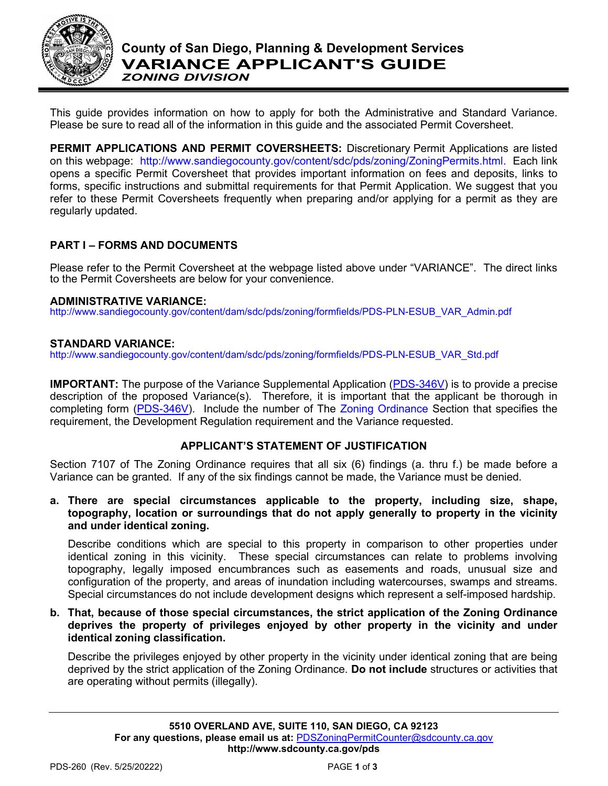

This guide provides information on how to apply for both the Administrative and Standard Variance. Please be sure to read all of the information in this guide and the associated Permit Coversheet.

**PERMIT APPLICATIONS AND PERMIT COVERSHEETS:** Discretionary Permit Applications are listed on this webpage: [http://www.sandiegocounty.gov/content/sdc/pds/zoning/ZoningPermits.html.](http://www.sandiegocounty.gov/content/sdc/pds/zoning/ZoningPermits.html) Each link opens a specific Permit Coversheet that provides important information on fees and deposits, links to forms, specific instructions and submittal requirements for that Permit Application. We suggest that you refer to these Permit Coversheets frequently when preparing and/or applying for a permit as they are regularly updated.

## **PART I – FORMS AND DOCUMENTS**

Please refer to the Permit Coversheet at the webpage listed above under "VARIANCE". The direct links to the Permit Coversheets are below for your convenience.

### **ADMINISTRATIVE VARIANCE:**

[http://www.sandiegocounty.gov/content/dam/sdc/pds/zoning/formfields/PDS-PLN-ESUB\\_VAR\\_Admin.pdf](http://www.sandiegocounty.gov/content/dam/sdc/pds/zoning/formfields/PDS-PLN-ESUB_VAR_Admin.pdf)

### **STANDARD VARIANCE:**

[http://www.sandiegocounty.gov/content/dam/sdc/pds/zoning/formfields/PDS-PLN-ESUB\\_VAR\\_Std.pdf](http://www.sandiegocounty.gov/content/dam/sdc/pds/zoning/formfields/PDS-PLN-ESUB_VAR_Std.pdf)

**IMPORTANT:** The purpose of the Variance Supplemental Application [\(PDS-346V\)](https://www.sandiegocounty.gov/content/dam/sdc/pds/zoning/formfields/PDS-PLN-346V.pdf) is to provide a precise description of the proposed Variance(s). Therefore, it is important that the applicant be thorough in completing form [\(PDS-346V\)](https://www.sandiegocounty.gov/content/dam/sdc/pds/zoning/formfields/PDS-PLN-346V.pdf). Include the number of The [Zoning Ordinance](http://www.sdcounty.ca.gov/pds/zoning/index.html) Section that specifies the requirement, the Development Regulation requirement and the Variance requested.

## **APPLICANT'S STATEMENT OF JUSTIFICATION**

Section 7107 of The Zoning Ordinance requires that all six (6) findings (a. thru f.) be made before a Variance can be granted. If any of the six findings cannot be made, the Variance must be denied.

**a. There are special circumstances applicable to the property, including size, shape, topography, location or surroundings that do not apply generally to property in the vicinity and under identical zoning.** 

Describe conditions which are special to this property in comparison to other properties under identical zoning in this vicinity. These special circumstances can relate to problems involving topography, legally imposed encumbrances such as easements and roads, unusual size and configuration of the property, and areas of inundation including watercourses, swamps and streams. Special circumstances do not include development designs which represent a self-imposed hardship.

**b. That, because of those special circumstances, the strict application of the Zoning Ordinance deprives the property of privileges enjoyed by other property in the vicinity and under identical zoning classification.**

Describe the privileges enjoyed by other property in the vicinity under identical zoning that are being deprived by the strict application of the Zoning Ordinance. **Do not include** structures or activities that are operating without permits (illegally).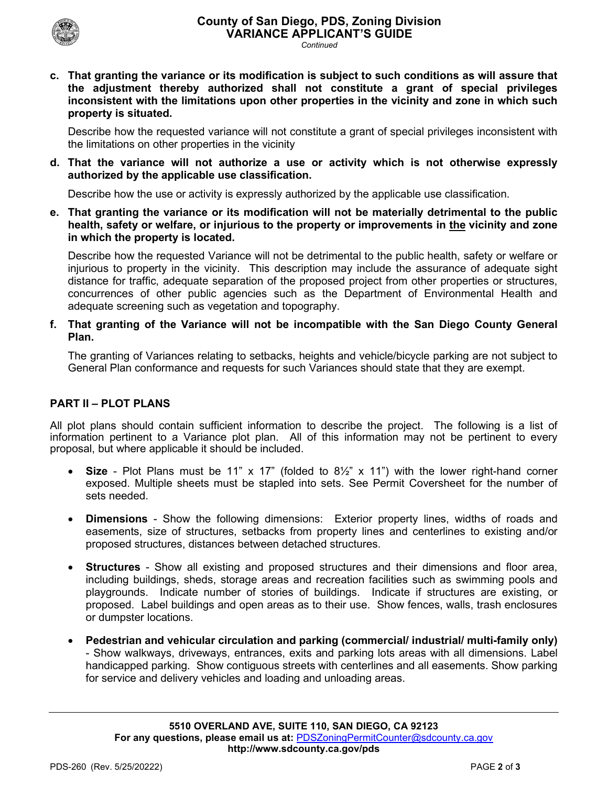

- *Continued*
- **c. That granting the variance or its modification is subject to such conditions as will assure that the adjustment thereby authorized shall not constitute a grant of special privileges inconsistent with the limitations upon other properties in the vicinity and zone in which such property is situated.**

Describe how the requested variance will not constitute a grant of special privileges inconsistent with the limitations on other properties in the vicinity

**d. That the variance will not authorize a use or activity which is not otherwise expressly authorized by the applicable use classification.**

Describe how the use or activity is expressly authorized by the applicable use classification.

**e. That granting the variance or its modification will not be materially detrimental to the public health, safety or welfare, or injurious to the property or improvements in the vicinity and zone in which the property is located.** 

Describe how the requested Variance will not be detrimental to the public health, safety or welfare or injurious to property in the vicinity. This description may include the assurance of adequate sight distance for traffic, adequate separation of the proposed project from other properties or structures, concurrences of other public agencies such as the Department of Environmental Health and adequate screening such as vegetation and topography.

**f. That granting of the Variance will not be incompatible with the San Diego County General Plan.**

The granting of Variances relating to setbacks, heights and vehicle/bicycle parking are not subject to General Plan conformance and requests for such Variances should state that they are exempt.

## **PART II – PLOT PLANS**

All plot plans should contain sufficient information to describe the project. The following is a list of information pertinent to a Variance plot plan. All of this information may not be pertinent to every proposal, but where applicable it should be included.

- **Size** Plot Plans must be 11" x 17" (folded to 8½" x 11") with the lower right-hand corner exposed. Multiple sheets must be stapled into sets. See Permit Coversheet for the number of sets needed.
- **Dimensions** Show the following dimensions: Exterior property lines, widths of roads and easements, size of structures, setbacks from property lines and centerlines to existing and/or proposed structures, distances between detached structures.
- **Structures** Show all existing and proposed structures and their dimensions and floor area, including buildings, sheds, storage areas and recreation facilities such as swimming pools and playgrounds. Indicate number of stories of buildings. Indicate if structures are existing, or proposed. Label buildings and open areas as to their use. Show fences, walls, trash enclosures or dumpster locations.
- **Pedestrian and vehicular circulation and parking (commercial/ industrial/ multi-family only)**  - Show walkways, driveways, entrances, exits and parking lots areas with all dimensions. Label handicapped parking. Show contiguous streets with centerlines and all easements. Show parking for service and delivery vehicles and loading and unloading areas.